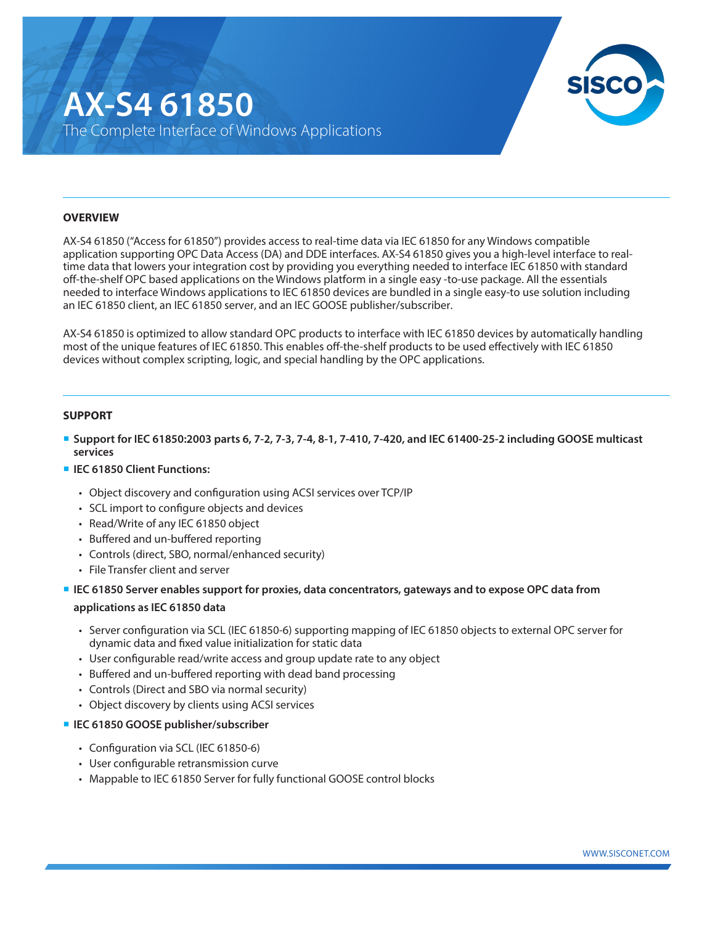# **AX-S4 61850** The Complete Interface of Windows Applications



#### **OVERVIEW**

AX-S4 61850 ("Access for 61850") provides access to real-time data via IEC 61850 for any Windows compatible application supporting OPC Data Access (DA) and DDE interfaces. AX-S4 61850 gives you a high-level interface to realtime data that lowers your integration cost by providing you everything needed to interface IEC 61850 with standard off-the-shelf OPC based applications on the Windows platform in a single easy -to-use package. All the essentials needed to interface Windows applications to IEC 61850 devices are bundled in a single easy-to use solution including an IEC 61850 client, an IEC 61850 server, and an IEC GOOSE publisher/subscriber.

AX-S4 61850 is optimized to allow standard OPC products to interface with IEC 61850 devices by automatically handling most of the unique features of IEC 61850. This enables off-the-shelf products to be used effectively with IEC 61850 devices without complex scripting, logic, and special handling by the OPC applications.

#### **SUPPORT**

- **Support for IEC 61850:2003 parts 6, 7-2, 7-3, 7-4, 8-1, 7-410, 7-420, and IEC 61400-25-2 including GOOSE multicast services**
- **IEC 61850 Client Functions:** 
	- Object discovery and configuration using ACSI services over TCP/IP
	- SCL import to configure objects and devices
	- Read/Write of any IEC 61850 object
	- Buffered and un-buffered reporting
	- Controls (direct, SBO, normal/enhanced security)
	- File Transfer client and server
- **IEC 61850 Server enables support for proxies, data concentrators, gateways and to expose OPC data from applications as IEC 61850 data**
	- Server configuration via SCL (IEC 61850-6) supporting mapping of IEC 61850 objects to external OPC server for dynamic data and fixed value initialization for static data
	- User configurable read/write access and group update rate to any object
	- Buffered and un-buffered reporting with dead band processing
	- Controls (Direct and SBO via normal security)
	- Object discovery by clients using ACSI services

## **IEC 61850 GOOSE publisher/subscriber**

- Configuration via SCL (IEC 61850-6)
- User configurable retransmission curve
- Mappable to IEC 61850 Server for fully functional GOOSE control blocks